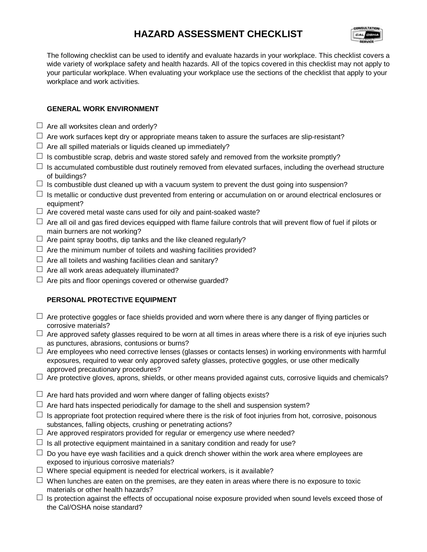# **HAZARD ASSESSMENT CHECKLIST**



The following checklist can be used to identify and evaluate hazards in your workplace. This checklist covers a wide variety of workplace safety and health hazards. All of the topics covered in this checklist may not apply to your particular workplace. When evaluating your workplace use the sections of the checklist that apply to your workplace and work activities.

### **GENERAL WORK ENVIRONMENT**

- $\Box$  Are all worksites clean and orderly?
- $\Box$  Are work surfaces kept dry or appropriate means taken to assure the surfaces are slip-resistant?
- $\Box$  Are all spilled materials or liquids cleaned up immediately?
- $\Box$  Is combustible scrap, debris and waste stored safely and removed from the worksite promptly?
- $\Box$  Is accumulated combustible dust routinely removed from elevated surfaces, including the overhead structure of buildings?
- $\Box$  Is combustible dust cleaned up with a vacuum system to prevent the dust going into suspension?
- $\Box$  Is metallic or conductive dust prevented from entering or accumulation on or around electrical enclosures or equipment?
- $\Box$  Are covered metal waste cans used for oily and paint-soaked waste?
- $\Box$  Are all oil and gas fired devices equipped with flame failure controls that will prevent flow of fuel if pilots or main burners are not working?
- $\Box$  Are paint spray booths, dip tanks and the like cleaned regularly?
- $\Box$  Are the minimum number of toilets and washing facilities provided?
- $\Box$  Are all toilets and washing facilities clean and sanitary?
- $\Box$  Are all work areas adequately illuminated?
- $\Box$  Are pits and floor openings covered or otherwise guarded?

### **PERSONAL PROTECTIVE EQUIPMENT**

- $\Box$  Are protective goggles or face shields provided and worn where there is any danger of flying particles or corrosive materials?
- $\Box$  Are approved safety glasses required to be worn at all times in areas where there is a risk of eye injuries such as punctures, abrasions, contusions or burns?
- $\Box$  Are employees who need corrective lenses (glasses or contacts lenses) in working environments with harmful exposures, required to wear only approved safety glasses, protective goggles, or use other medically approved precautionary procedures?
- $\Box$  Are protective gloves, aprons, shields, or other means provided against cuts, corrosive liquids and chemicals?
- $\Box$  Are hard hats provided and worn where danger of falling objects exists?
- $\Box$  Are hard hats inspected periodically for damage to the shell and suspension system?
- $\Box$  Is appropriate foot protection required where there is the risk of foot injuries from hot, corrosive, poisonous substances, falling objects, crushing or penetrating actions?
- $\Box$  Are approved respirators provided for regular or emergency use where needed?
- $\Box$  Is all protective equipment maintained in a sanitary condition and ready for use?
- $\Box$  Do you have eye wash facilities and a quick drench shower within the work area where employees are exposed to injurious corrosive materials?
- $\Box$  Where special equipment is needed for electrical workers, is it available?
- $\Box$  When lunches are eaten on the premises, are they eaten in areas where there is no exposure to toxic materials or other health hazards?
- $\Box$  Is protection against the effects of occupational noise exposure provided when sound levels exceed those of the Cal/OSHA noise standard?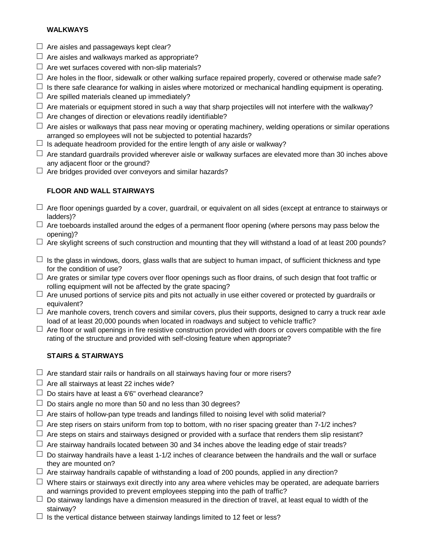### **WALKWAYS**

- $\Box$  Are aisles and passageways kept clear?
- $\Box$  Are aisles and walkways marked as appropriate?
- $\Box$  Are wet surfaces covered with non-slip materials?
- $\Box$  Are holes in the floor, sidewalk or other walking surface repaired properly, covered or otherwise made safe?
- $\Box$  Is there safe clearance for walking in aisles where motorized or mechanical handling equipment is operating.
- $\Box$  Are spilled materials cleaned up immediately?
- $\Box$  Are materials or equipment stored in such a way that sharp projectiles will not interfere with the walkway?
- $\Box$  Are changes of direction or elevations readily identifiable?
- $\Box$  Are aisles or walkways that pass near moving or operating machinery, welding operations or similar operations arranged so employees will not be subjected to potential hazards?
- $\Box$  Is adequate headroom provided for the entire length of any aisle or walkway?
- $\Box$  Are standard guardrails provided wherever aisle or walkway surfaces are elevated more than 30 inches above any adjacent floor or the ground?
- $\Box$  Are bridges provided over conveyors and similar hazards?

# **FLOOR AND WALL STAIRWAYS**

- $\Box$  Are floor openings guarded by a cover, guardrail, or equivalent on all sides (except at entrance to stairways or ladders)?
- $\Box$  Are toeboards installed around the edges of a permanent floor opening (where persons may pass below the opening)?
- $\Box$  Are skylight screens of such construction and mounting that they will withstand a load of at least 200 pounds?
- $\Box$  Is the glass in windows, doors, glass walls that are subject to human impact, of sufficient thickness and type for the condition of use?
- $\Box$  Are grates or similar type covers over floor openings such as floor drains, of such design that foot traffic or rolling equipment will not be affected by the grate spacing?
- $\Box$  Are unused portions of service pits and pits not actually in use either covered or protected by guardrails or equivalent?
- $\Box$  Are manhole covers, trench covers and similar covers, plus their supports, designed to carry a truck rear axle load of at least 20,000 pounds when located in roadways and subject to vehicle traffic?
- $\Box$  Are floor or wall openings in fire resistive construction provided with doors or covers compatible with the fire rating of the structure and provided with self-closing feature when appropriate?

# **STAIRS & STAIRWAYS**

- $\Box$  Are standard stair rails or handrails on all stairways having four or more risers?
- $\Box$  Are all stairways at least 22 inches wide?
- $\Box$  Do stairs have at least a 6'6" overhead clearance?
- $\Box$  Do stairs angle no more than 50 and no less than 30 degrees?
- $\Box$  Are stairs of hollow-pan type treads and landings filled to noising level with solid material?
- $\Box$  Are step risers on stairs uniform from top to bottom, with no riser spacing greater than 7-1/2 inches?
- $\Box$  Are steps on stairs and stairways designed or provided with a surface that renders them slip resistant?
- $\Box$  Are stairway handrails located between 30 and 34 inches above the leading edge of stair treads?
- $\Box$  Do stairway handrails have a least 1-1/2 inches of clearance between the handrails and the wall or surface they are mounted on?
- $\Box$  Are stairway handrails capable of withstanding a load of 200 pounds, applied in any direction?
- $\Box$  Where stairs or stairways exit directly into any area where vehicles may be operated, are adequate barriers and warnings provided to prevent employees stepping into the path of traffic?
- $\Box$  Do stairway landings have a dimension measured in the direction of travel, at least equal to width of the stairway?
- $\Box$  Is the vertical distance between stairway landings limited to 12 feet or less?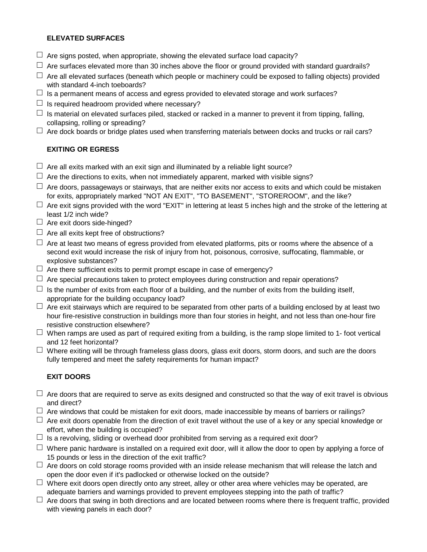### **ELEVATED SURFACES**

- $\Box$  Are signs posted, when appropriate, showing the elevated surface load capacity?
- $\Box$  Are surfaces elevated more than 30 inches above the floor or ground provided with standard guardrails?
- $\Box$  Are all elevated surfaces (beneath which people or machinery could be exposed to falling objects) provided with standard 4-inch toeboards?
- $\Box$  Is a permanent means of access and egress provided to elevated storage and work surfaces?
- $\Box$  Is required headroom provided where necessary?
- $\Box$  Is material on elevated surfaces piled, stacked or racked in a manner to prevent it from tipping, falling, collapsing, rolling or spreading?
- $\Box$  Are dock boards or bridge plates used when transferring materials between docks and trucks or rail cars?

### **EXITING OR EGRESS**

- $\Box$  Are all exits marked with an exit sign and illuminated by a reliable light source?
- $\Box$  Are the directions to exits, when not immediately apparent, marked with visible signs?
- $\Box$  Are doors, passageways or stairways, that are neither exits nor access to exits and which could be mistaken for exits, appropriately marked "NOT AN EXIT", "TO BASEMENT", "STOREROOM", and the like?
- $\Box$  Are exit signs provided with the word "EXIT" in lettering at least 5 inches high and the stroke of the lettering at least 1/2 inch wide?
- $\Box$  Are exit doors side-hinged?
- $\Box$  Are all exits kept free of obstructions?
- $\Box$  Are at least two means of egress provided from elevated platforms, pits or rooms where the absence of a second exit would increase the risk of injury from hot, poisonous, corrosive, suffocating, flammable, or explosive substances?
- $\Box$  Are there sufficient exits to permit prompt escape in case of emergency?
- $\Box$  Are special precautions taken to protect employees during construction and repair operations?
- $\Box$  Is the number of exits from each floor of a building, and the number of exits from the building itself, appropriate for the building occupancy load?
- $\Box$  Are exit stairways which are required to be separated from other parts of a building enclosed by at least two hour fire-resistive construction in buildings more than four stories in height, and not less than one-hour fire resistive construction elsewhere?
- $\Box$  When ramps are used as part of required exiting from a building, is the ramp slope limited to 1- foot vertical and 12 feet horizontal?
- $\Box$  Where exiting will be through frameless glass doors, glass exit doors, storm doors, and such are the doors fully tempered and meet the safety requirements for human impact?

# **EXIT DOORS**

- $\Box$  Are doors that are required to serve as exits designed and constructed so that the way of exit travel is obvious and direct?
- $\Box$  Are windows that could be mistaken for exit doors, made inaccessible by means of barriers or railings?
- $\Box$  Are exit doors openable from the direction of exit travel without the use of a key or any special knowledge or effort, when the building is occupied?
- $\Box$  Is a revolving, sliding or overhead door prohibited from serving as a required exit door?
- $\Box$  Where panic hardware is installed on a required exit door, will it allow the door to open by applying a force of 15 pounds or less in the direction of the exit traffic?
- $\Box$  Are doors on cold storage rooms provided with an inside release mechanism that will release the latch and open the door even if it's padlocked or otherwise locked on the outside?
- $\Box$  Where exit doors open directly onto any street, alley or other area where vehicles may be operated, are adequate barriers and warnings provided to prevent employees stepping into the path of traffic?
- $\Box$  Are doors that swing in both directions and are located between rooms where there is frequent traffic, provided with viewing panels in each door?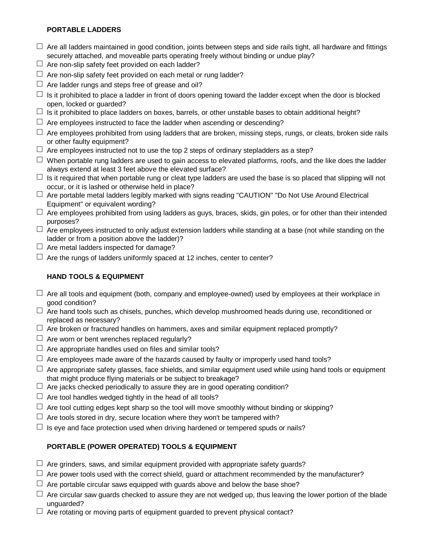# **PORTABLE LADDERS**

- $\Box$  Are all ladders maintained in good condition, joints between steps and side rails tight, all hardware and fittings securely attached, and moveable parts operating freely without binding or undue play?
- $\Box$  Are non-slip safety feet provided on each ladder?
- $\Box$  Are non-slip safety feet provided on each metal or rung ladder?
- $\Box$  Are ladder rungs and steps free of grease and oil?
- $\Box$  Is it prohibited to place a ladder in front of doors opening toward the ladder except when the door is blocked open, locked or guarded?
- $\Box$  Is it prohibited to place ladders on boxes, barrels, or other unstable bases to obtain additional height?
- $\Box$  Are employees instructed to face the ladder when ascending or descending?
- $\Box$  Are employees prohibited from using ladders that are broken, missing steps, rungs, or cleats, broken side rails or other faulty equipment?
- $\Box$  Are employees instructed not to use the top 2 steps of ordinary stepladders as a step?
- $\Box$  When portable rung ladders are used to gain access to elevated platforms, roofs, and the like does the ladder always extend at least 3 feet above the elevated surface?
- $\Box$  Is it required that when portable rung or cleat type ladders are used the base is so placed that slipping will not occur, or it is lashed or otherwise held in place?
- $\Box$  Are portable metal ladders legibly marked with signs reading "CAUTION" "Do Not Use Around Electrical Equipment" or equivalent wording?
- $\Box$  Are employees prohibited from using ladders as guys, braces, skids, gin poles, or for other than their intended purposes?
- $\Box$  Are employees instructed to only adjust extension ladders while standing at a base (not while standing on the ladder or from a position above the ladder)?
- $\Box$  Are metal ladders inspected for damage?
- $\Box$  Are the rungs of ladders uniformly spaced at 12 inches, center to center?

# **HAND TOOLS & EQUIPMENT**

- $\Box$  Are all tools and equipment (both, company and employee-owned) used by employees at their workplace in good condition?
- $\Box$  Are hand tools such as chisels, punches, which develop mushroomed heads during use, reconditioned or replaced as necessary?
- $\Box$  Are broken or fractured handles on hammers, axes and similar equipment replaced promptly?
- $\Box$  Are worn or bent wrenches replaced regularly?
- $\Box$  Are appropriate handles used on files and similar tools?
- $\Box$  Are employees made aware of the hazards caused by faulty or improperly used hand tools?
- $\Box$  Are appropriate safety glasses, face shields, and similar equipment used while using hand tools or equipment that might produce flying materials or be subject to breakage?
- $\Box$  Are jacks checked periodically to assure they are in good operating condition?
- $\Box$  Are tool handles wedged tightly in the head of all tools?
- $\Box$  Are tool cutting edges kept sharp so the tool will move smoothly without binding or skipping?
- $\Box$  Are tools stored in dry, secure location where they won't be tampered with?
- $\Box$  Is eye and face protection used when driving hardened or tempered spuds or nails?

### **PORTABLE (POWER OPERATED) TOOLS & EQUIPMENT**

- $\Box$  Are grinders, saws, and similar equipment provided with appropriate safety guards?
- $\Box$  Are power tools used with the correct shield, guard or attachment recommended by the manufacturer?
- $\Box$  Are portable circular saws equipped with guards above and below the base shoe?
- $\Box$  Are circular saw guards checked to assure they are not wedged up, thus leaving the lower portion of the blade unguarded?
- $\Box$  Are rotating or moving parts of equipment guarded to prevent physical contact?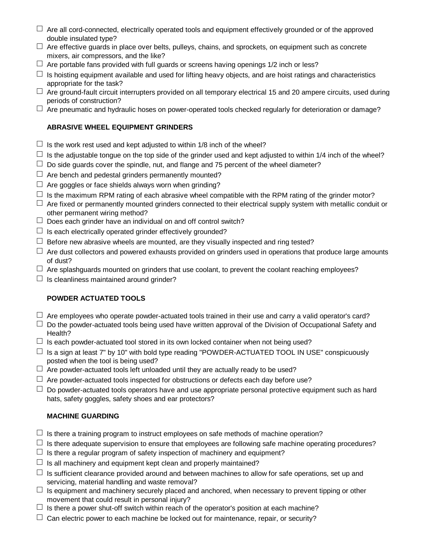- $\Box$  Are all cord-connected, electrically operated tools and equipment effectively grounded or of the approved double insulated type?
- $\Box$  Are effective guards in place over belts, pulleys, chains, and sprockets, on equipment such as concrete mixers, air compressors, and the like?
- $\Box$  Are portable fans provided with full guards or screens having openings 1/2 inch or less?
- $\Box$  Is hoisting equipment available and used for lifting heavy objects, and are hoist ratings and characteristics appropriate for the task?
- $\Box$  Are ground-fault circuit interrupters provided on all temporary electrical 15 and 20 ampere circuits, used during periods of construction?
- $\Box$  Are pneumatic and hydraulic hoses on power-operated tools checked regularly for deterioration or damage?

### **ABRASIVE WHEEL EQUIPMENT GRINDERS**

- $\Box$  Is the work rest used and kept adjusted to within 1/8 inch of the wheel?
- $\Box$  Is the adjustable tongue on the top side of the grinder used and kept adjusted to within 1/4 inch of the wheel?
- $\Box$  Do side guards cover the spindle, nut, and flange and 75 percent of the wheel diameter?
- $\Box$  Are bench and pedestal grinders permanently mounted?
- $\Box$  Are goggles or face shields always worn when grinding?
- $\Box$  Is the maximum RPM rating of each abrasive wheel compatible with the RPM rating of the grinder motor?
- $\Box$  Are fixed or permanently mounted grinders connected to their electrical supply system with metallic conduit or other permanent wiring method?
- $\Box$  Does each grinder have an individual on and off control switch?
- $\Box$  Is each electrically operated grinder effectively grounded?
- $\Box$  Before new abrasive wheels are mounted, are they visually inspected and ring tested?
- $\Box$  Are dust collectors and powered exhausts provided on grinders used in operations that produce large amounts of dust?
- $\Box$  Are splashguards mounted on grinders that use coolant, to prevent the coolant reaching employees?
- $\Box$  Is cleanliness maintained around grinder?

# **POWDER ACTUATED TOOLS**

- $\Box$  Are employees who operate powder-actuated tools trained in their use and carry a valid operator's card?
- $\Box$  Do the powder-actuated tools being used have written approval of the Division of Occupational Safety and Health?
- $\Box$  Is each powder-actuated tool stored in its own locked container when not being used?
- $\Box$  Is a sign at least 7" by 10" with bold type reading "POWDER-ACTUATED TOOL IN USE" conspicuously posted when the tool is being used?
- $\Box$  Are powder-actuated tools left unloaded until they are actually ready to be used?
- $\Box$  Are powder-actuated tools inspected for obstructions or defects each day before use?
- $\Box$  Do powder-actuated tools operators have and use appropriate personal protective equipment such as hard hats, safety goggles, safety shoes and ear protectors?

# **MACHINE GUARDING**

- $\Box$  Is there a training program to instruct employees on safe methods of machine operation?
- $\Box$  Is there adequate supervision to ensure that employees are following safe machine operating procedures?
- $\Box$  Is there a regular program of safety inspection of machinery and equipment?
- $\Box$  Is all machinery and equipment kept clean and properly maintained?
- $\Box$  Is sufficient clearance provided around and between machines to allow for safe operations, set up and servicing, material handling and waste removal?
- $\Box$  Is equipment and machinery securely placed and anchored, when necessary to prevent tipping or other movement that could result in personal injury?
- $\Box$  Is there a power shut-off switch within reach of the operator's position at each machine?
- $\Box$  Can electric power to each machine be locked out for maintenance, repair, or security?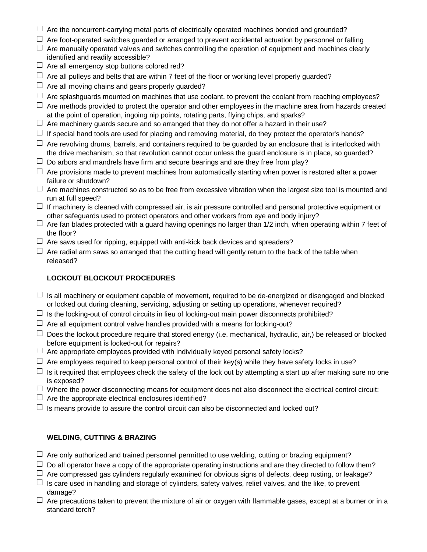- $\Box$  Are the noncurrent-carrying metal parts of electrically operated machines bonded and grounded?
- $\Box$  Are foot-operated switches guarded or arranged to prevent accidental actuation by personnel or falling
- $\Box$  Are manually operated valves and switches controlling the operation of equipment and machines clearly identified and readily accessible?
- $\Box$  Are all emergency stop buttons colored red?
- $\Box$  Are all pulleys and belts that are within 7 feet of the floor or working level properly guarded?
- $\Box$  Are all moving chains and gears properly guarded?
- $\Box$  Are splashguards mounted on machines that use coolant, to prevent the coolant from reaching employees?
- $\Box$  Are methods provided to protect the operator and other employees in the machine area from hazards created at the point of operation, ingoing nip points, rotating parts, flying chips, and sparks?
- $\Box$  Are machinery guards secure and so arranged that they do not offer a hazard in their use?
- $\Box$  If special hand tools are used for placing and removing material, do they protect the operator's hands?
- $\Box$  Are revolving drums, barrels, and containers required to be guarded by an enclosure that is interlocked with the drive mechanism, so that revolution cannot occur unless the guard enclosure is in place, so guarded?
- $\Box$  Do arbors and mandrels have firm and secure bearings and are they free from play?
- $\Box$  Are provisions made to prevent machines from automatically starting when power is restored after a power failure or shutdown?
- $\Box$  Are machines constructed so as to be free from excessive vibration when the largest size tool is mounted and run at full speed?
- $\Box$  If machinery is cleaned with compressed air, is air pressure controlled and personal protective equipment or other safeguards used to protect operators and other workers from eye and body injury?
- $\Box$  Are fan blades protected with a guard having openings no larger than 1/2 inch, when operating within 7 feet of the floor?
- $\Box$  Are saws used for ripping, equipped with anti-kick back devices and spreaders?
- $\Box$  Are radial arm saws so arranged that the cutting head will gently return to the back of the table when released?

# **LOCKOUT BLOCKOUT PROCEDURES**

- $\Box$  Is all machinery or equipment capable of movement, required to be de-energized or disengaged and blocked or locked out during cleaning, servicing, adjusting or setting up operations, whenever required?
- $\Box$  Is the locking-out of control circuits in lieu of locking-out main power disconnects prohibited?
- $\Box$  Are all equipment control valve handles provided with a means for locking-out?
- $\Box$  Does the lockout procedure require that stored energy (i.e. mechanical, hydraulic, air,) be released or blocked before equipment is locked-out for repairs?
- $\Box$  Are appropriate employees provided with individually keyed personal safety locks?
- $\Box$  Are employees required to keep personal control of their key(s) while they have safety locks in use?
- $\Box$  Is it required that employees check the safety of the lock out by attempting a start up after making sure no one is exposed?
- $\Box$  Where the power disconnecting means for equipment does not also disconnect the electrical control circuit:
- $\Box$  Are the appropriate electrical enclosures identified?
- $\Box$  Is means provide to assure the control circuit can also be disconnected and locked out?

# **WELDING, CUTTING & BRAZING**

- $\Box$  Are only authorized and trained personnel permitted to use welding, cutting or brazing equipment?
- $\Box$  Do all operator have a copy of the appropriate operating instructions and are they directed to follow them?
- $\Box$  Are compressed gas cylinders regularly examined for obvious signs of defects, deep rusting, or leakage?
- $\Box$  Is care used in handling and storage of cylinders, safety valves, relief valves, and the like, to prevent damage?
- $\Box$  Are precautions taken to prevent the mixture of air or oxygen with flammable gases, except at a burner or in a standard torch?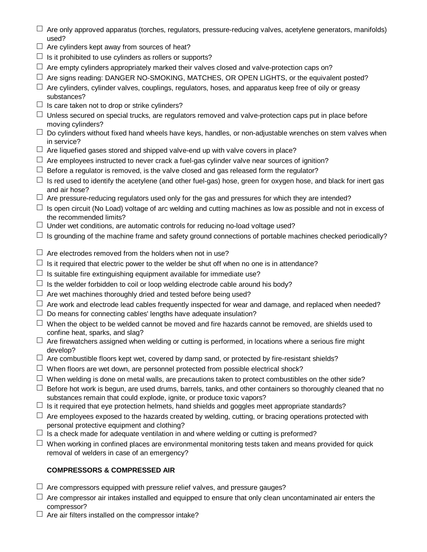- $\Box$  Are only approved apparatus (torches, regulators, pressure-reducing valves, acetylene generators, manifolds) used?
- $\Box$  Are cylinders kept away from sources of heat?
- $\Box$  Is it prohibited to use cylinders as rollers or supports?
- $\Box$  Are empty cylinders appropriately marked their valves closed and valve-protection caps on?
- $\Box$  Are signs reading: DANGER NO-SMOKING, MATCHES, OR OPEN LIGHTS, or the equivalent posted?
- $\Box$  Are cylinders, cylinder valves, couplings, regulators, hoses, and apparatus keep free of oily or greasy substances?
- $\Box$  Is care taken not to drop or strike cylinders?
- $\Box$  Unless secured on special trucks, are regulators removed and valve-protection caps put in place before moving cylinders?
- $\Box$  Do cylinders without fixed hand wheels have keys, handles, or non-adjustable wrenches on stem valves when in service?
- $\Box$  Are liquefied gases stored and shipped valve-end up with valve covers in place?
- $\Box$  Are employees instructed to never crack a fuel-gas cylinder valve near sources of ignition?
- $\Box$  Before a regulator is removed, is the valve closed and gas released form the regulator?
- $\Box$  Is red used to identify the acetylene (and other fuel-gas) hose, green for oxygen hose, and black for inert gas and air hose?
- $\Box$  Are pressure-reducing regulators used only for the gas and pressures for which they are intended?
- $\Box$  Is open circuit (No Load) voltage of arc welding and cutting machines as low as possible and not in excess of the recommended limits?
- $\Box$  Under wet conditions, are automatic controls for reducing no-load voltage used?
- $\Box$  Is grounding of the machine frame and safety ground connections of portable machines checked periodically?
- $\Box$  Are electrodes removed from the holders when not in use?
- $\Box$  Is it required that electric power to the welder be shut off when no one is in attendance?
- $\Box$  Is suitable fire extinguishing equipment available for immediate use?
- $\Box$  Is the welder forbidden to coil or loop welding electrode cable around his body?
- $\Box$  Are wet machines thoroughly dried and tested before being used?
- $\Box$  Are work and electrode lead cables frequently inspected for wear and damage, and replaced when needed?
- $\Box$  Do means for connecting cables' lengths have adequate insulation?
- $\Box$  When the object to be welded cannot be moved and fire hazards cannot be removed, are shields used to confine heat, sparks, and slag?
- $\Box$  Are firewatchers assigned when welding or cutting is performed, in locations where a serious fire might develop?
- $\Box$  Are combustible floors kept wet, covered by damp sand, or protected by fire-resistant shields?
- $\Box$  When floors are wet down, are personnel protected from possible electrical shock?
- $\Box$  When welding is done on metal walls, are precautions taken to protect combustibles on the other side?
- $\Box$  Before hot work is begun, are used drums, barrels, tanks, and other containers so thoroughly cleaned that no substances remain that could explode, ignite, or produce toxic vapors?
- $\Box$  Is it required that eye protection helmets, hand shields and goggles meet appropriate standards?
- $\Box$  Are employees exposed to the hazards created by welding, cutting, or bracing operations protected with personal protective equipment and clothing?
- $\Box$  Is a check made for adequate ventilation in and where welding or cutting is preformed?
- $\Box$  When working in confined places are environmental monitoring tests taken and means provided for quick removal of welders in case of an emergency?

# **COMPRESSORS & COMPRESSED AIR**

- $\Box$  Are compressors equipped with pressure relief valves, and pressure gauges?
- $\Box$  Are compressor air intakes installed and equipped to ensure that only clean uncontaminated air enters the compressor?
- $\Box$  Are air filters installed on the compressor intake?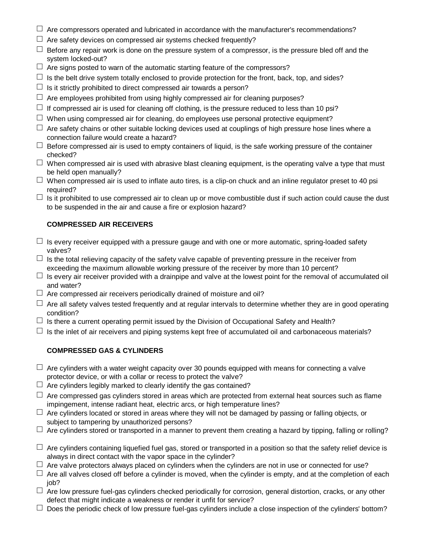- $\Box$  Are compressors operated and lubricated in accordance with the manufacturer's recommendations?
- $\Box$  Are safety devices on compressed air systems checked frequently?
- $\Box$  Before any repair work is done on the pressure system of a compressor, is the pressure bled off and the system locked-out?
- $\Box$  Are signs posted to warn of the automatic starting feature of the compressors?
- $\Box$  Is the belt drive system totally enclosed to provide protection for the front, back, top, and sides?
- $\Box$  Is it strictly prohibited to direct compressed air towards a person?
- $\Box$  Are employees prohibited from using highly compressed air for cleaning purposes?
- $\Box$  If compressed air is used for cleaning off clothing, is the pressure reduced to less than 10 psi?
- $\Box$  When using compressed air for cleaning, do employees use personal protective equipment?
- $\Box$  Are safety chains or other suitable locking devices used at couplings of high pressure hose lines where a connection failure would create a hazard?
- $\Box$  Before compressed air is used to empty containers of liquid, is the safe working pressure of the container checked?
- $\Box$  When compressed air is used with abrasive blast cleaning equipment, is the operating valve a type that must be held open manually?
- $\Box$  When compressed air is used to inflate auto tires, is a clip-on chuck and an inline regulator preset to 40 psi required?
- $\Box$  Is it prohibited to use compressed air to clean up or move combustible dust if such action could cause the dust to be suspended in the air and cause a fire or explosion hazard?

# **COMPRESSED AIR RECEIVERS**

- $\Box$  Is every receiver equipped with a pressure gauge and with one or more automatic, spring-loaded safety valves?
- $\Box$  Is the total relieving capacity of the safety valve capable of preventing pressure in the receiver from exceeding the maximum allowable working pressure of the receiver by more than 10 percent?
- $\Box$  Is every air receiver provided with a drainpipe and valve at the lowest point for the removal of accumulated oil and water?
- $\Box$  Are compressed air receivers periodically drained of moisture and oil?
- $\Box$  Are all safety valves tested frequently and at regular intervals to determine whether they are in good operating condition?
- $\Box$  Is there a current operating permit issued by the Division of Occupational Safety and Health?
- $\Box$  Is the inlet of air receivers and piping systems kept free of accumulated oil and carbonaceous materials?

# **COMPRESSED GAS & CYLINDERS**

- $\Box$  Are cylinders with a water weight capacity over 30 pounds equipped with means for connecting a valve protector device, or with a collar or recess to protect the valve?
- $\Box$  Are cylinders legibly marked to clearly identify the gas contained?
- $\Box$  Are compressed gas cylinders stored in areas which are protected from external heat sources such as flame impingement, intense radiant heat, electric arcs, or high temperature lines?
- $\Box$  Are cylinders located or stored in areas where they will not be damaged by passing or falling objects, or subject to tampering by unauthorized persons?
- $\Box$  Are cylinders stored or transported in a manner to prevent them creating a hazard by tipping, falling or rolling?
- $\Box$  Are cylinders containing liquefied fuel gas, stored or transported in a position so that the safety relief device is always in direct contact with the vapor space in the cylinder?
- $\Box$  Are valve protectors always placed on cylinders when the cylinders are not in use or connected for use?
- $\Box$  Are all valves closed off before a cylinder is moved, when the cylinder is empty, and at the completion of each job?
- $\Box$  Are low pressure fuel-gas cylinders checked periodically for corrosion, general distortion, cracks, or any other defect that might indicate a weakness or render it unfit for service?
- $\Box$  Does the periodic check of low pressure fuel-gas cylinders include a close inspection of the cylinders' bottom?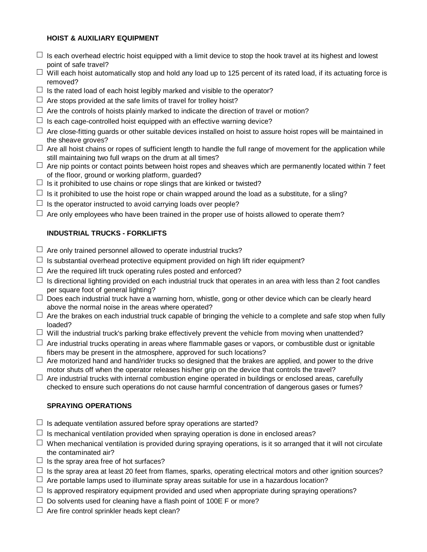### **HOIST & AUXILIARY EQUIPMENT**

- $\Box$  Is each overhead electric hoist equipped with a limit device to stop the hook travel at its highest and lowest point of safe travel?
- $\Box$  Will each hoist automatically stop and hold any load up to 125 percent of its rated load, if its actuating force is removed?
- $\Box$  Is the rated load of each hoist legibly marked and visible to the operator?
- $\Box$  Are stops provided at the safe limits of travel for trolley hoist?
- $\Box$  Are the controls of hoists plainly marked to indicate the direction of travel or motion?
- $\Box$  Is each cage-controlled hoist equipped with an effective warning device?
- $\Box$  Are close-fitting guards or other suitable devices installed on hoist to assure hoist ropes will be maintained in the sheave groves?
- $\Box$  Are all hoist chains or ropes of sufficient length to handle the full range of movement for the application while still maintaining two full wraps on the drum at all times?
- $\Box$  Are nip points or contact points between hoist ropes and sheaves which are permanently located within 7 feet of the floor, ground or working platform, guarded?
- $\Box$  Is it prohibited to use chains or rope slings that are kinked or twisted?
- $\Box$  Is it prohibited to use the hoist rope or chain wrapped around the load as a substitute, for a sling?
- $\Box$  Is the operator instructed to avoid carrying loads over people?
- $\Box$  Are only employees who have been trained in the proper use of hoists allowed to operate them?

# **INDUSTRIAL TRUCKS - FORKLIFTS**

- $\Box$  Are only trained personnel allowed to operate industrial trucks?
- $\Box$  Is substantial overhead protective equipment provided on high lift rider equipment?
- $\Box$  Are the required lift truck operating rules posted and enforced?
- $\Box$  Is directional lighting provided on each industrial truck that operates in an area with less than 2 foot candles per square foot of general lighting?
- $\Box$  Does each industrial truck have a warning horn, whistle, gong or other device which can be clearly heard above the normal noise in the areas where operated?
- $\Box$  Are the brakes on each industrial truck capable of bringing the vehicle to a complete and safe stop when fully loaded?
- $\Box$  Will the industrial truck's parking brake effectively prevent the vehicle from moving when unattended?
- $\Box$  Are industrial trucks operating in areas where flammable gases or vapors, or combustible dust or ignitable fibers may be present in the atmosphere, approved for such locations?
- $\Box$  Are motorized hand and hand/rider trucks so designed that the brakes are applied, and power to the drive motor shuts off when the operator releases his/her grip on the device that controls the travel?
- $\Box$  Are industrial trucks with internal combustion engine operated in buildings or enclosed areas, carefully checked to ensure such operations do not cause harmful concentration of dangerous gases or fumes?

# **SPRAYING OPERATIONS**

- $\Box$  Is adequate ventilation assured before spray operations are started?
- $\Box$  Is mechanical ventilation provided when spraying operation is done in enclosed areas?
- $\Box$  When mechanical ventilation is provided during spraying operations, is it so arranged that it will not circulate the contaminated air?
- $\Box$  Is the spray area free of hot surfaces?
- $\Box$  Is the spray area at least 20 feet from flames, sparks, operating electrical motors and other ignition sources?
- $\Box$  Are portable lamps used to illuminate spray areas suitable for use in a hazardous location?
- $\Box$  Is approved respiratory equipment provided and used when appropriate during spraying operations?
- $\Box$  Do solvents used for cleaning have a flash point of 100E F or more?
- $\Box$  Are fire control sprinkler heads kept clean?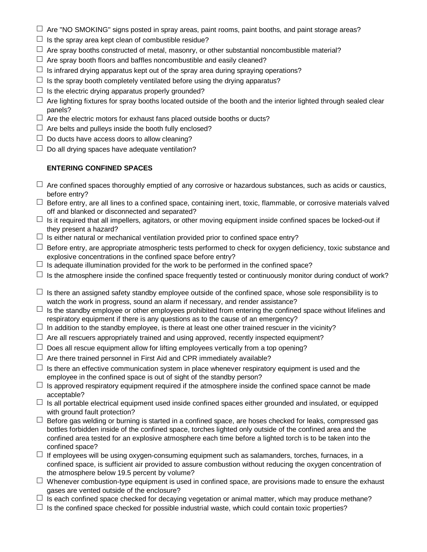- $\Box$  Are "NO SMOKING" signs posted in spray areas, paint rooms, paint booths, and paint storage areas?
- $\Box$  Is the spray area kept clean of combustible residue?
- $\Box$  Are spray booths constructed of metal, masonry, or other substantial noncombustible material?
- $\Box$  Are spray booth floors and baffles noncombustible and easily cleaned?
- $\Box$  Is infrared drying apparatus kept out of the spray area during spraying operations?
- $\Box$  Is the spray booth completely ventilated before using the drying apparatus?
- $\Box$  Is the electric drying apparatus properly grounded?
- $\Box$  Are lighting fixtures for spray booths located outside of the booth and the interior lighted through sealed clear panels?
- $\Box$  Are the electric motors for exhaust fans placed outside booths or ducts?
- $\Box$  Are belts and pulleys inside the booth fully enclosed?
- $\Box$  Do ducts have access doors to allow cleaning?
- $\Box$  Do all drying spaces have adequate ventilation?

#### **ENTERING CONFINED SPACES**

- $\Box$  Are confined spaces thoroughly emptied of any corrosive or hazardous substances, such as acids or caustics, before entry?
- $\Box$  Before entry, are all lines to a confined space, containing inert, toxic, flammable, or corrosive materials valved off and blanked or disconnected and separated?
- $\Box$  Is it required that all impellers, agitators, or other moving equipment inside confined spaces be locked-out if they present a hazard?
- $\Box$  Is either natural or mechanical ventilation provided prior to confined space entry?
- $\Box$  Before entry, are appropriate atmospheric tests performed to check for oxygen deficiency, toxic substance and explosive concentrations in the confined space before entry?
- $\Box$  Is adequate illumination provided for the work to be performed in the confined space?
- $\Box$  Is the atmosphere inside the confined space frequently tested or continuously monitor during conduct of work?
- $\Box$  Is there an assigned safety standby employee outside of the confined space, whose sole responsibility is to watch the work in progress, sound an alarm if necessary, and render assistance?
- $\Box$  Is the standby employee or other employees prohibited from entering the confined space without lifelines and respiratory equipment if there is any questions as to the cause of an emergency?
- $\Box$  In addition to the standby employee, is there at least one other trained rescuer in the vicinity?
- $\Box$  Are all rescuers appropriately trained and using approved, recently inspected equipment?
- $\Box$  Does all rescue equipment allow for lifting employees vertically from a top opening?
- $\Box$  Are there trained personnel in First Aid and CPR immediately available?
- $\Box$  Is there an effective communication system in place whenever respiratory equipment is used and the employee in the confined space is out of sight of the standby person?
- $\Box$  Is approved respiratory equipment required if the atmosphere inside the confined space cannot be made acceptable?
- $\Box$  Is all portable electrical equipment used inside confined spaces either grounded and insulated, or equipped with ground fault protection?
- $\Box$  Before gas welding or burning is started in a confined space, are hoses checked for leaks, compressed gas bottles forbidden inside of the confined space, torches lighted only outside of the confined area and the confined area tested for an explosive atmosphere each time before a lighted torch is to be taken into the confined space?
- $\Box$  If employees will be using oxygen-consuming equipment such as salamanders, torches, furnaces, in a confined space, is sufficient air provided to assure combustion without reducing the oxygen concentration of the atmosphere below 19.5 percent by volume?
- $\Box$  Whenever combustion-type equipment is used in confined space, are provisions made to ensure the exhaust gases are vented outside of the enclosure?
- $\Box$  Is each confined space checked for decaying vegetation or animal matter, which may produce methane?
- $\Box$  Is the confined space checked for possible industrial waste, which could contain toxic properties?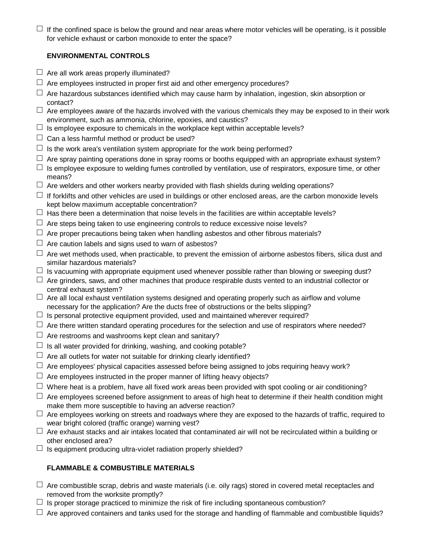$\Box$  If the confined space is below the ground and near areas where motor vehicles will be operating, is it possible for vehicle exhaust or carbon monoxide to enter the space?

# **ENVIRONMENTAL CONTROLS**

- $\Box$  Are all work areas properly illuminated?
- $\Box$  Are employees instructed in proper first aid and other emergency procedures?
- $\Box$  Are hazardous substances identified which may cause harm by inhalation, ingestion, skin absorption or contact?
- $\Box$  Are employees aware of the hazards involved with the various chemicals they may be exposed to in their work environment, such as ammonia, chlorine, epoxies, and caustics?
- $\Box$  Is employee exposure to chemicals in the workplace kept within acceptable levels?
- $\Box$  Can a less harmful method or product be used?
- $\Box$  Is the work area's ventilation system appropriate for the work being performed?
- $\Box$  Are spray painting operations done in spray rooms or booths equipped with an appropriate exhaust system?
- $\Box$  Is employee exposure to welding fumes controlled by ventilation, use of respirators, exposure time, or other means?
- $\Box$  Are welders and other workers nearby provided with flash shields during welding operations?
- $\Box$  If forklifts and other vehicles are used in buildings or other enclosed areas, are the carbon monoxide levels kept below maximum acceptable concentration?
- $\Box$  Has there been a determination that noise levels in the facilities are within acceptable levels?
- $\Box$  Are steps being taken to use engineering controls to reduce excessive noise levels?
- $\Box$  Are proper precautions being taken when handling asbestos and other fibrous materials?
- $\Box$  Are caution labels and signs used to warn of asbestos?
- $\Box$  Are wet methods used, when practicable, to prevent the emission of airborne asbestos fibers, silica dust and similar hazardous materials?
- $\Box$  Is vacuuming with appropriate equipment used whenever possible rather than blowing or sweeping dust?
- $\Box$  Are grinders, saws, and other machines that produce respirable dusts vented to an industrial collector or central exhaust system?
- $\Box$  Are all local exhaust ventilation systems designed and operating properly such as airflow and volume necessary for the application? Are the ducts free of obstructions or the belts slipping?
- $\Box$  Is personal protective equipment provided, used and maintained wherever required?
- $\Box$  Are there written standard operating procedures for the selection and use of respirators where needed?
- $\Box$  Are restrooms and washrooms kept clean and sanitary?
- $\Box$  Is all water provided for drinking, washing, and cooking potable?
- $\Box$  Are all outlets for water not suitable for drinking clearly identified?
- $\Box$  Are employees' physical capacities assessed before being assigned to jobs requiring heavy work?
- $\Box$  Are employees instructed in the proper manner of lifting heavy objects?
- $\Box$  Where heat is a problem, have all fixed work areas been provided with spot cooling or air conditioning?
- $\Box$  Are employees screened before assignment to areas of high heat to determine if their health condition might make them more susceptible to having an adverse reaction?
- $\Box$  Are employees working on streets and roadways where they are exposed to the hazards of traffic, required to wear bright colored (traffic orange) warning vest?
- $\Box$  Are exhaust stacks and air intakes located that contaminated air will not be recirculated within a building or other enclosed area?
- $\Box$  Is equipment producing ultra-violet radiation properly shielded?

# **FLAMMABLE & COMBUSTIBLE MATERIALS**

- $\Box$  Are combustible scrap, debris and waste materials (i.e. oily rags) stored in covered metal receptacles and removed from the worksite promptly?
- $\Box$  Is proper storage practiced to minimize the risk of fire including spontaneous combustion?
- $\Box$  Are approved containers and tanks used for the storage and handling of flammable and combustible liquids?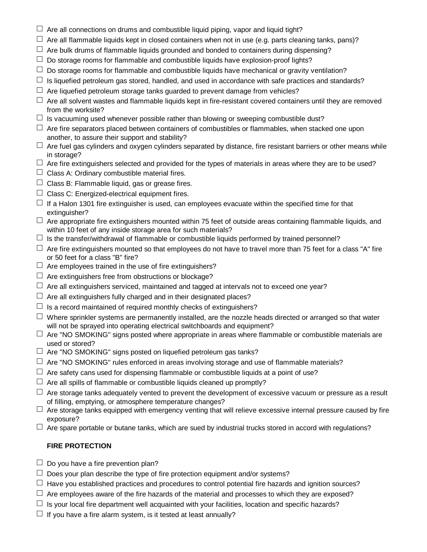- $\Box$  Are all connections on drums and combustible liquid piping, vapor and liquid tight?
- $\Box$  Are all flammable liquids kept in closed containers when not in use (e.g. parts cleaning tanks, pans)?
- $\Box$  Are bulk drums of flammable liquids grounded and bonded to containers during dispensing?
- $\Box$  Do storage rooms for flammable and combustible liquids have explosion-proof lights?
- $\Box$  Do storage rooms for flammable and combustible liquids have mechanical or gravity ventilation?
- $\Box$  Is liquefied petroleum gas stored, handled, and used in accordance with safe practices and standards?
- $\Box$  Are liquefied petroleum storage tanks guarded to prevent damage from vehicles?
- $\Box$  Are all solvent wastes and flammable liquids kept in fire-resistant covered containers until they are removed from the worksite?
- $\Box$  Is vacuuming used whenever possible rather than blowing or sweeping combustible dust?
- $\Box$  Are fire separators placed between containers of combustibles or flammables, when stacked one upon another, to assure their support and stability?
- $\Box$  Are fuel gas cylinders and oxygen cylinders separated by distance, fire resistant barriers or other means while in storage?
- $\Box$  Are fire extinguishers selected and provided for the types of materials in areas where they are to be used?
- $\Box$  Class A: Ordinary combustible material fires.
- $\Box$  Class B: Flammable liquid, gas or grease fires.
- $\Box$  Class C: Energized-electrical equipment fires.
- $\Box$  If a Halon 1301 fire extinguisher is used, can employees evacuate within the specified time for that extinguisher?
- $\Box$  Are appropriate fire extinguishers mounted within 75 feet of outside areas containing flammable liquids, and within 10 feet of any inside storage area for such materials?
- $\Box$  Is the transfer/withdrawal of flammable or combustible liquids performed by trained personnel?
- $\Box$  Are fire extinguishers mounted so that employees do not have to travel more than 75 feet for a class "A" fire or 50 feet for a class "B" fire?
- $\Box$  Are employees trained in the use of fire extinguishers?
- $\Box$  Are extinguishers free from obstructions or blockage?
- $\Box$  Are all extinguishers serviced, maintained and tagged at intervals not to exceed one year?
- $\Box$  Are all extinguishers fully charged and in their designated places?
- $\Box$  Is a record maintained of required monthly checks of extinguishers?
- $\Box$  Where sprinkler systems are permanently installed, are the nozzle heads directed or arranged so that water will not be sprayed into operating electrical switchboards and equipment?
- $\Box$  Are "NO SMOKING" signs posted where appropriate in areas where flammable or combustible materials are used or stored?
- $\Box$  Are "NO SMOKING" signs posted on liquefied petroleum gas tanks?
- $\Box$  Are "NO SMOKING" rules enforced in areas involving storage and use of flammable materials?
- $\Box$  Are safety cans used for dispensing flammable or combustible liquids at a point of use?
- $\Box$  Are all spills of flammable or combustible liquids cleaned up promptly?
- $\Box$  Are storage tanks adequately vented to prevent the development of excessive vacuum or pressure as a result of filling, emptying, or atmosphere temperature changes?
- $\Box$  Are storage tanks equipped with emergency venting that will relieve excessive internal pressure caused by fire exposure?
- $\Box$  Are spare portable or butane tanks, which are sued by industrial trucks stored in accord with regulations?

# **FIRE PROTECTION**

- $\Box$  Do you have a fire prevention plan?
- $\Box$  Does your plan describe the type of fire protection equipment and/or systems?
- $\Box$  Have you established practices and procedures to control potential fire hazards and ignition sources?
- $\Box$  Are employees aware of the fire hazards of the material and processes to which they are exposed?
- $\Box$  Is your local fire department well acquainted with your facilities, location and specific hazards?
- $\Box$  If you have a fire alarm system, is it tested at least annually?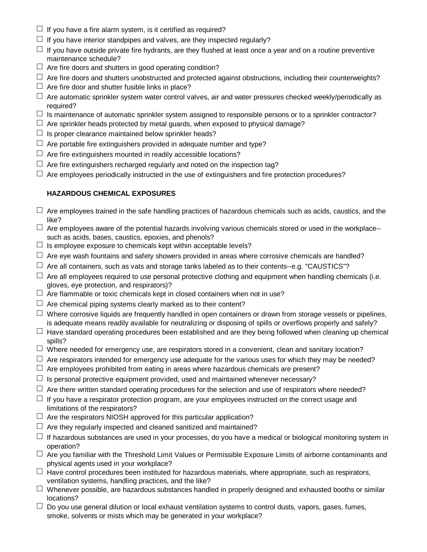- $\Box$  If you have a fire alarm system, is it certified as required?
- $\Box$  If you have interior standpipes and valves, are they inspected regularly?
- $\Box$  If you have outside private fire hydrants, are they flushed at least once a year and on a routine preventive maintenance schedule?
- $\Box$  Are fire doors and shutters in good operating condition?
- $\Box$  Are fire doors and shutters unobstructed and protected against obstructions, including their counterweights?
- $\Box$  Are fire door and shutter fusible links in place?
- $\Box$  Are automatic sprinkler system water control valves, air and water pressures checked weekly/periodically as required?
- $\Box$  Is maintenance of automatic sprinkler system assigned to responsible persons or to a sprinkler contractor?
- $\Box$  Are sprinkler heads protected by metal guards, when exposed to physical damage?
- $\Box$  Is proper clearance maintained below sprinkler heads?
- $\Box$  Are portable fire extinguishers provided in adequate number and type?
- $\Box$  Are fire extinguishers mounted in readily accessible locations?
- $\Box$  Are fire extinguishers recharged regularly and noted on the inspection tag?
- $\Box$  Are employees periodically instructed in the use of extinguishers and fire protection procedures?

# **HAZARDOUS CHEMICAL EXPOSURES**

- $\Box$  Are employees trained in the safe handling practices of hazardous chemicals such as acids, caustics, and the like?
- $\Box$  Are employees aware of the potential hazards involving various chemicals stored or used in the workplace-such as acids, bases, caustics, epoxies, and phenols?
- $\Box$  Is employee exposure to chemicals kept within acceptable levels?
- $\Box$  Are eye wash fountains and safety showers provided in areas where corrosive chemicals are handled?
- $\Box$  Are all containers, such as vats and storage tanks labeled as to their contents--e.g. "CAUSTICS"?
- $\Box$  Are all employees required to use personal protective clothing and equipment when handling chemicals (i.e. gloves, eye protection, and respirators)?
- $\Box$  Are flammable or toxic chemicals kept in closed containers when not in use?
- $\Box$  Are chemical piping systems clearly marked as to their content?
- $\Box$  Where corrosive liquids are frequently handled in open containers or drawn from storage vessels or pipelines, is adequate means readily available for neutralizing or disposing of spills or overflows properly and safely?
- $\Box$  Have standard operating procedures been established and are they being followed when cleaning up chemical spills?
- $\Box$  Where needed for emergency use, are respirators stored in a convenient, clean and sanitary location?
- $\Box$  Are respirators intended for emergency use adequate for the various uses for which they may be needed?
- $\Box$  Are employees prohibited from eating in areas where hazardous chemicals are present?
- $\Box$  Is personal protective equipment provided, used and maintained whenever necessary?
- $\Box$  Are there written standard operating procedures for the selection and use of respirators where needed?
- $\Box$  If you have a respirator protection program, are your employees instructed on the correct usage and limitations of the respirators?
- $\Box$  Are the respirators NIOSH approved for this particular application?
- $\Box$  Are they regularly inspected and cleaned sanitized and maintained?
- $\Box$  If hazardous substances are used in your processes, do you have a medical or biological monitoring system in operation?
- $\Box$  Are you familiar with the Threshold Limit Values or Permissible Exposure Limits of airborne contaminants and physical agents used in your workplace?
- $\Box$  Have control procedures been instituted for hazardous materials, where appropriate, such as respirators, ventilation systems, handling practices, and the like?
- $\Box$  Whenever possible, are hazardous substances handled in properly designed and exhausted booths or similar locations?
- $\Box$  Do you use general dilution or local exhaust ventilation systems to control dusts, vapors, gases, fumes, smoke, solvents or mists which may be generated in your workplace?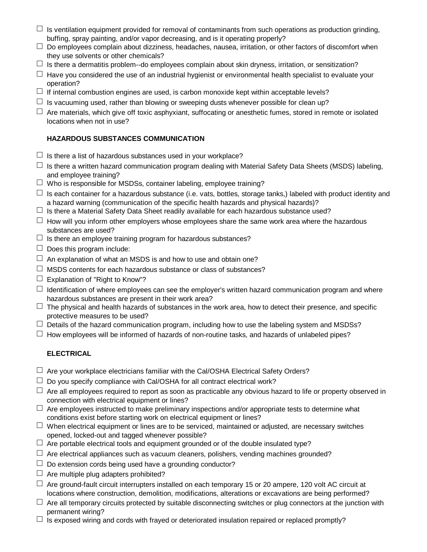- $\Box$  Is ventilation equipment provided for removal of contaminants from such operations as production grinding, buffing, spray painting, and/or vapor decreasing, and is it operating properly?
- $\Box$  Do employees complain about dizziness, headaches, nausea, irritation, or other factors of discomfort when they use solvents or other chemicals?
- $\Box$  Is there a dermatitis problem--do employees complain about skin dryness, irritation, or sensitization?
- $\Box$  Have you considered the use of an industrial hygienist or environmental health specialist to evaluate your operation?
- $\Box$  If internal combustion engines are used, is carbon monoxide kept within acceptable levels?
- $\Box$  Is vacuuming used, rather than blowing or sweeping dusts whenever possible for clean up?
- $\Box$  Are materials, which give off toxic asphyxiant, suffocating or anesthetic fumes, stored in remote or isolated locations when not in use?

# **HAZARDOUS SUBSTANCES COMMUNICATION**

- $\Box$  Is there a list of hazardous substances used in your workplace?
- $\Box$  Is there a written hazard communication program dealing with Material Safety Data Sheets (MSDS) labeling, and employee training?
- $\Box$  Who is responsible for MSDSs, container labeling, employee training?
- $\Box$  Is each container for a hazardous substance (i.e. vats, bottles, storage tanks,) labeled with product identity and a hazard warning (communication of the specific health hazards and physical hazards)?
- $\Box$  Is there a Material Safety Data Sheet readily available for each hazardous substance used?
- $\Box$  How will you inform other employers whose employees share the same work area where the hazardous substances are used?
- $\Box$  Is there an employee training program for hazardous substances?
- $\Box$  Does this program include:
- $\Box$  An explanation of what an MSDS is and how to use and obtain one?
- $\Box$  MSDS contents for each hazardous substance or class of substances?
- $\Box$  Explanation of "Right to Know"?
- $\Box$  Identification of where employees can see the employer's written hazard communication program and where hazardous substances are present in their work area?
- $\Box$  The physical and health hazards of substances in the work area, how to detect their presence, and specific protective measures to be used?
- $\Box$  Details of the hazard communication program, including how to use the labeling system and MSDSs?
- $\Box$  How employees will be informed of hazards of non-routine tasks, and hazards of unlabeled pipes?

### **ELECTRICAL**

- $\Box$  Are your workplace electricians familiar with the Cal/OSHA Electrical Safety Orders?
- $\Box$  Do you specify compliance with Cal/OSHA for all contract electrical work?
- $\Box$  Are all employees required to report as soon as practicable any obvious hazard to life or property observed in connection with electrical equipment or lines?
- $\Box$  Are employees instructed to make preliminary inspections and/or appropriate tests to determine what conditions exist before starting work on electrical equipment or lines?
- $\Box$  When electrical equipment or lines are to be serviced, maintained or adjusted, are necessary switches opened, locked-out and tagged whenever possible?
- $\Box$  Are portable electrical tools and equipment grounded or of the double insulated type?
- $\Box$  Are electrical appliances such as vacuum cleaners, polishers, vending machines grounded?
- $\Box$  Do extension cords being used have a grounding conductor?
- $\Box$  Are multiple plug adapters prohibited?
- $\Box$  Are ground-fault circuit interrupters installed on each temporary 15 or 20 ampere, 120 volt AC circuit at locations where construction, demolition, modifications, alterations or excavations are being performed?
- $\Box$  Are all temporary circuits protected by suitable disconnecting switches or plug connectors at the junction with permanent wiring?
- $\Box$  Is exposed wiring and cords with frayed or deteriorated insulation repaired or replaced promptly?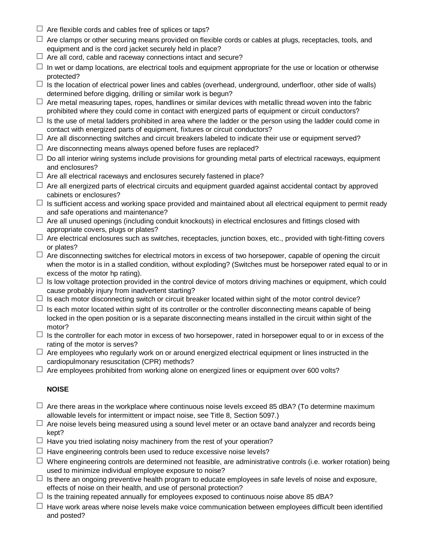- $\Box$  Are flexible cords and cables free of splices or taps?
- $\Box$  Are clamps or other securing means provided on flexible cords or cables at plugs, receptacles, tools, and equipment and is the cord jacket securely held in place?
- $\Box$  Are all cord, cable and raceway connections intact and secure?
- $\Box$  In wet or damp locations, are electrical tools and equipment appropriate for the use or location or otherwise protected?
- $\Box$  Is the location of electrical power lines and cables (overhead, underground, underfloor, other side of walls) determined before digging, drilling or similar work is begun?
- $\Box$  Are metal measuring tapes, ropes, handlines or similar devices with metallic thread woven into the fabric prohibited where they could come in contact with energized parts of equipment or circuit conductors?
- $\Box$  Is the use of metal ladders prohibited in area where the ladder or the person using the ladder could come in contact with energized parts of equipment, fixtures or circuit conductors?
- $\Box$  Are all disconnecting switches and circuit breakers labeled to indicate their use or equipment served?
- $\Box$  Are disconnecting means always opened before fuses are replaced?
- $\Box$  Do all interior wiring systems include provisions for grounding metal parts of electrical raceways, equipment and enclosures?
- $\Box$  Are all electrical raceways and enclosures securely fastened in place?
- $\Box$  Are all energized parts of electrical circuits and equipment guarded against accidental contact by approved cabinets or enclosures?
- $\Box$  Is sufficient access and working space provided and maintained about all electrical equipment to permit ready and safe operations and maintenance?
- $\Box$  Are all unused openings (including conduit knockouts) in electrical enclosures and fittings closed with appropriate covers, plugs or plates?
- $\Box$  Are electrical enclosures such as switches, receptacles, junction boxes, etc., provided with tight-fitting covers or plates?
- $\Box$  Are disconnecting switches for electrical motors in excess of two horsepower, capable of opening the circuit when the motor is in a stalled condition, without exploding? (Switches must be horsepower rated equal to or in excess of the motor hp rating).
- $\Box$  Is low voltage protection provided in the control device of motors driving machines or equipment, which could cause probably injury from inadvertent starting?
- $\Box$  Is each motor disconnecting switch or circuit breaker located within sight of the motor control device?
- $\Box$  Is each motor located within sight of its controller or the controller disconnecting means capable of being locked in the open position or is a separate disconnecting means installed in the circuit within sight of the motor?
- $\Box$  Is the controller for each motor in excess of two horsepower, rated in horsepower equal to or in excess of the rating of the motor is serves?
- $\Box$  Are employees who regularly work on or around energized electrical equipment or lines instructed in the cardiopulmonary resuscitation (CPR) methods?
- $\Box$  Are employees prohibited from working alone on energized lines or equipment over 600 volts?

### **NOISE**

- $\Box$  Are there areas in the workplace where continuous noise levels exceed 85 dBA? (To determine maximum allowable levels for intermittent or impact noise, see Title 8, Section 5097.)
- $\Box$  Are noise levels being measured using a sound level meter or an octave band analyzer and records being kept?
- $\Box$  Have you tried isolating noisy machinery from the rest of your operation?
- $\Box$  Have engineering controls been used to reduce excessive noise levels?
- $\Box$  Where engineering controls are determined not feasible, are administrative controls (i.e. worker rotation) being used to minimize individual employee exposure to noise?
- $\Box$  Is there an ongoing preventive health program to educate employees in safe levels of noise and exposure, effects of noise on their health, and use of personal protection?
- $\Box$  Is the training repeated annually for employees exposed to continuous noise above 85 dBA?
- $\Box$  Have work areas where noise levels make voice communication between employees difficult been identified and posted?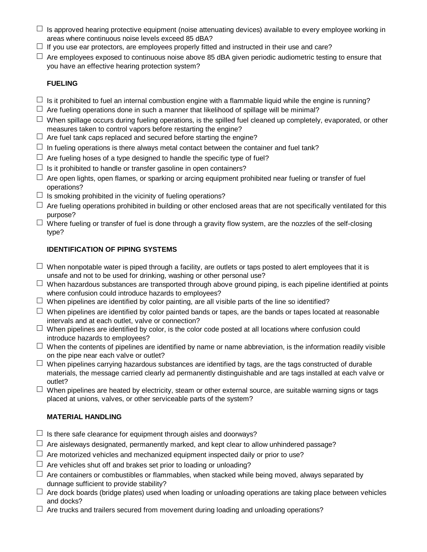- $\Box$  Is approved hearing protective equipment (noise attenuating devices) available to every employee working in areas where continuous noise levels exceed 85 dBA?
- $\Box$  If you use ear protectors, are employees properly fitted and instructed in their use and care?
- $\Box$  Are employees exposed to continuous noise above 85 dBA given periodic audiometric testing to ensure that you have an effective hearing protection system?

### **FUELING**

- $\Box$  Is it prohibited to fuel an internal combustion engine with a flammable liquid while the engine is running?
- $\Box$  Are fueling operations done in such a manner that likelihood of spillage will be minimal?
- $\Box$  When spillage occurs during fueling operations, is the spilled fuel cleaned up completely, evaporated, or other measures taken to control vapors before restarting the engine?
- $\Box$  Are fuel tank caps replaced and secured before starting the engine?
- $\Box$  In fueling operations is there always metal contact between the container and fuel tank?
- $\Box$  Are fueling hoses of a type designed to handle the specific type of fuel?
- $\Box$  Is it prohibited to handle or transfer gasoline in open containers?
- $\Box$  Are open lights, open flames, or sparking or arcing equipment prohibited near fueling or transfer of fuel operations?
- $\Box$  Is smoking prohibited in the vicinity of fueling operations?
- $\Box$  Are fueling operations prohibited in building or other enclosed areas that are not specifically ventilated for this purpose?
- $\Box$  Where fueling or transfer of fuel is done through a gravity flow system, are the nozzles of the self-closing type?

# **IDENTIFICATION OF PIPING SYSTEMS**

- $\Box$  When nonpotable water is piped through a facility, are outlets or taps posted to alert employees that it is unsafe and not to be used for drinking, washing or other personal use?
- $\Box$  When hazardous substances are transported through above ground piping, is each pipeline identified at points where confusion could introduce hazards to employees?
- $\Box$  When pipelines are identified by color painting, are all visible parts of the line so identified?
- $\Box$  When pipelines are identified by color painted bands or tapes, are the bands or tapes located at reasonable intervals and at each outlet, valve or connection?
- $\Box$  When pipelines are identified by color, is the color code posted at all locations where confusion could introduce hazards to employees?
- $\Box$  When the contents of pipelines are identified by name or name abbreviation, is the information readily visible on the pipe near each valve or outlet?
- $\Box$  When pipelines carrying hazardous substances are identified by tags, are the tags constructed of durable materials, the message carried clearly ad permanently distinguishable and are tags installed at each valve or outlet?
- $\Box$  When pipelines are heated by electricity, steam or other external source, are suitable warning signs or tags placed at unions, valves, or other serviceable parts of the system?

# **MATERIAL HANDLING**

- $\Box$  Is there safe clearance for equipment through aisles and doorways?
- $\Box$  Are aisleways designated, permanently marked, and kept clear to allow unhindered passage?
- $\Box$  Are motorized vehicles and mechanized equipment inspected daily or prior to use?
- $\Box$  Are vehicles shut off and brakes set prior to loading or unloading?
- $\Box$  Are containers or combustibles or flammables, when stacked while being moved, always separated by dunnage sufficient to provide stability?
- $\Box$  Are dock boards (bridge plates) used when loading or unloading operations are taking place between vehicles and docks?
- $\Box$  Are trucks and trailers secured from movement during loading and unloading operations?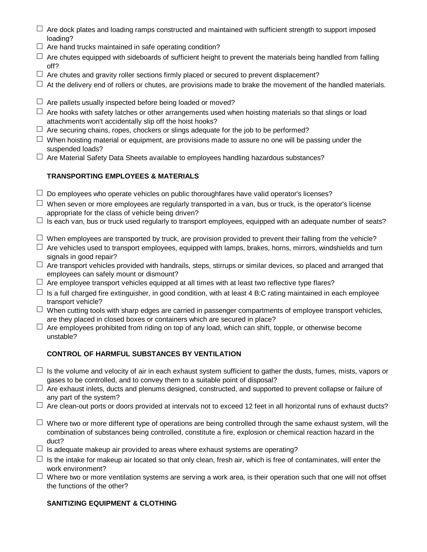- $\Box$  Are dock plates and loading ramps constructed and maintained with sufficient strength to support imposed loading?
- $\Box$  Are hand trucks maintained in safe operating condition?
- $\Box$  Are chutes equipped with sideboards of sufficient height to prevent the materials being handled from falling off?
- $\Box$  Are chutes and gravity roller sections firmly placed or secured to prevent displacement?
- $\Box$  At the delivery end of rollers or chutes, are provisions made to brake the movement of the handled materials.
- $\Box$  Are pallets usually inspected before being loaded or moved?
- $\Box$  Are hooks with safety latches or other arrangements used when hoisting materials so that slings or load attachments won't accidentally slip off the hoist hooks?
- $\Box$  Are securing chains, ropes, chockers or slings adequate for the job to be performed?
- $\Box$  When hoisting material or equipment, are provisions made to assure no one will be passing under the suspended loads?
- $\Box$  Are Material Safety Data Sheets available to employees handling hazardous substances?

# **TRANSPORTING EMPLOYEES & MATERIALS**

- $\Box$  Do employees who operate vehicles on public thoroughfares have valid operator's licenses?
- $\Box$  When seven or more employees are regularly transported in a van, bus or truck, is the operator's license appropriate for the class of vehicle being driven?
- $\Box$  Is each van, bus or truck used regularly to transport employees, equipped with an adequate number of seats?
- $\Box$  When employees are transported by truck, are provision provided to prevent their falling from the vehicle?
- $\Box$  Are vehicles used to transport employees, equipped with lamps, brakes, horns, mirrors, windshields and turn signals in good repair?
- $\Box$  Are transport vehicles provided with handrails, steps, stirrups or similar devices, so placed and arranged that employees can safely mount or dismount?
- $\Box$  Are employee transport vehicles equipped at all times with at least two reflective type flares?
- $\Box$  Is a full charged fire extinguisher, in good condition, with at least 4 B:C rating maintained in each employee transport vehicle?
- $\Box$  When cutting tools with sharp edges are carried in passenger compartments of employee transport vehicles, are they placed in closed boxes or containers which are secured in place?
- $\Box$  Are employees prohibited from riding on top of any load, which can shift, topple, or otherwise become unstable?

# **CONTROL OF HARMFUL SUBSTANCES BY VENTILATION**

- $\Box$  Is the volume and velocity of air in each exhaust system sufficient to gather the dusts, fumes, mists, vapors or gases to be controlled, and to convey them to a suitable point of disposal?
- $\Box$  Are exhaust inlets, ducts and plenums designed, constructed, and supported to prevent collapse or failure of any part of the system?
- $\Box$  Are clean-out ports or doors provided at intervals not to exceed 12 feet in all horizontal runs of exhaust ducts?
- $\Box$  Where two or more different type of operations are being controlled through the same exhaust system, will the combination of substances being controlled, constitute a fire, explosion or chemical reaction hazard in the duct?
- $\Box$  Is adequate makeup air provided to areas where exhaust systems are operating?
- $\Box$  Is the intake for makeup air located so that only clean, fresh air, which is free of contaminates, will enter the work environment?
- $\Box$  Where two or more ventilation systems are serving a work area, is their operation such that one will not offset the functions of the other?

# **SANITIZING EQUIPMENT & CLOTHING**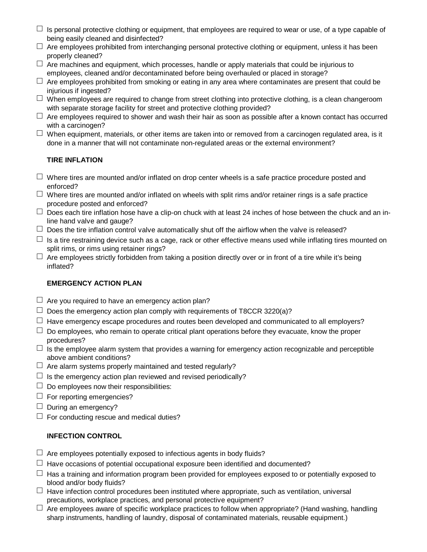- $\Box$  Is personal protective clothing or equipment, that employees are required to wear or use, of a type capable of being easily cleaned and disinfected?
- $\Box$  Are employees prohibited from interchanging personal protective clothing or equipment, unless it has been properly cleaned?
- $\Box$  Are machines and equipment, which processes, handle or apply materials that could be injurious to employees, cleaned and/or decontaminated before being overhauled or placed in storage?
- $\Box$  Are employees prohibited from smoking or eating in any area where contaminates are present that could be injurious if ingested?
- $\Box$  When employees are required to change from street clothing into protective clothing, is a clean changeroom with separate storage facility for street and protective clothing provided?
- $\Box$  Are employees required to shower and wash their hair as soon as possible after a known contact has occurred with a carcinogen?
- $\Box$  When equipment, materials, or other items are taken into or removed from a carcinogen regulated area, is it done in a manner that will not contaminate non-regulated areas or the external environment?

# **TIRE INFLATION**

- $\Box$  Where tires are mounted and/or inflated on drop center wheels is a safe practice procedure posted and enforced?
- $\Box$  Where tires are mounted and/or inflated on wheels with split rims and/or retainer rings is a safe practice procedure posted and enforced?
- $\Box$  Does each tire inflation hose have a clip-on chuck with at least 24 inches of hose between the chuck and an inline hand valve and gauge?
- $\Box$  Does the tire inflation control valve automatically shut off the airflow when the valve is released?
- $\Box$  Is a tire restraining device such as a cage, rack or other effective means used while inflating tires mounted on split rims, or rims using retainer rings?
- $\Box$  Are employees strictly forbidden from taking a position directly over or in front of a tire while it's being inflated?

# **EMERGENCY ACTION PLAN**

- $\Box$  Are you required to have an emergency action plan?
- $\Box$  Does the emergency action plan comply with requirements of T8CCR 3220(a)?
- $\Box$  Have emergency escape procedures and routes been developed and communicated to all employers?
- $\Box$  Do employees, who remain to operate critical plant operations before they evacuate, know the proper procedures?
- $\Box$  is the employee alarm system that provides a warning for emergency action recognizable and perceptible above ambient conditions?
- $\Box$  Are alarm systems properly maintained and tested regularly?
- $\Box$  Is the emergency action plan reviewed and revised periodically?
- $\Box$  Do employees now their responsibilities:
- $\Box$  For reporting emergencies?
- $\Box$  During an emergency?
- $\Box$  For conducting rescue and medical duties?

# **INFECTION CONTROL**

- $\Box$  Are employees potentially exposed to infectious agents in body fluids?
- $\Box$  Have occasions of potential occupational exposure been identified and documented?
- $\Box$  Has a training and information program been provided for employees exposed to or potentially exposed to blood and/or body fluids?
- $\Box$  Have infection control procedures been instituted where appropriate, such as ventilation, universal precautions, workplace practices, and personal protective equipment?
- $\Box$  Are employees aware of specific workplace practices to follow when appropriate? (Hand washing, handling sharp instruments, handling of laundry, disposal of contaminated materials, reusable equipment.)